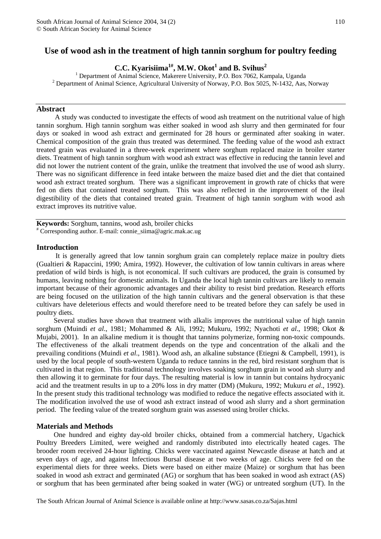# **Use of wood ash in the treatment of high tannin sorghum for poultry feeding**

 $C.C.$  Kyarisiima<sup>1#</sup>, M.W. Okot<sup>1</sup> and B. Svihus<sup>2</sup>

<sup>1</sup> Department of Animal Science, Makerere University, P.O. Box 7062, Kampala, Uganda <sup>2</sup> Department of Animal Science, Agricultural University of Norway, P.O. Box 5025, N-1432, Aas, Norway

## **Abstract**

A study was conducted to investigate the effects of wood ash treatment on the nutritional value of high tannin sorghum. High tannin sorghum was either soaked in wood ash slurry and then germinated for four days or soaked in wood ash extract and germinated for 28 hours or germinated after soaking in water. Chemical composition of the grain thus treated was determined. The feeding value of the wood ash extract treated grain was evaluated in a three-week experiment where sorghum replaced maize in broiler starter diets. Treatment of high tannin sorghum with wood ash extract was effective in reducing the tannin level and did not lower the nutrient content of the grain, unlike the treatment that involved the use of wood ash slurry. There was no significant difference in feed intake between the maize based diet and the diet that contained wood ash extract treated sorghum. There was a significant improvement in growth rate of chicks that were fed on diets that contained treated sorghum. This was also reflected in the improvement of the ileal digestibility of the diets that contained treated grain. Treatment of high tannin sorghum with wood ash extract improves its nutritive value.

**Keywords:** Sorghum, tannins, wood ash, broiler chicks # Corresponding author. E-mail: [connie\\_siima@agric.mak.ac.ug](mailto:connie_siima@agric.mak.ac.ug) 

#### **Introduction**

It is generally agreed that low tannin sorghum grain can completely replace maize in poultry diets (Gualtieri & Rapaccini, 1990; Amira, 1992). However, the cultivation of low tannin cultivars in areas where predation of wild birds is high, is not economical. If such cultivars are produced, the grain is consumed by humans, leaving nothing for domestic animals. In Uganda the local high tannin cultivars are likely to remain important because of their agronomic advantages and their ability to resist bird predation. Research efforts are being focused on the utilization of the high tannin cultivars and the general observation is that these cultivars have deleterious effects and would therefore need to be treated before they can safely be used in poultry diets.

Several studies have shown that treatment with alkalis improves the nutritional value of high tannin sorghum (Muindi *et al*., 1981; Mohammed & Ali, 1992; Mukuru, 1992; Nyachoti *et al*., 1998; Okot & Mujabi, 2001). In an alkaline medium it is thought that tannins polymerize, forming non-toxic compounds. The effectiveness of the alkali treatment depends on the type and concentration of the alkali and the prevailing conditions (Muindi *et al*., 1981). Wood ash, an alkaline substance (Etiegni & Campbell, 1991), is used by the local people of south-western Uganda to reduce tannins in the red, bird resistant sorghum that is cultivated in that region. This traditional technology involves soaking sorghum grain in wood ash slurry and then allowing it to germinate for four days. The resulting material is low in tannin but contains hydrocyanic acid and the treatment results in up to a 20% loss in dry matter (DM) (Mukuru, 1992; Mukuru *et al*., 1992). In the present study this traditional technology was modified to reduce the negative effects associated with it. The modification involved the use of wood ash extract instead of wood ash slurry and a short germination period. The feeding value of the treated sorghum grain was assessed using broiler chicks.

### **Materials and Methods**

One hundred and eighty day-old broiler chicks, obtained from a commercial hatchery, Ugachick Poultry Breeders Limited, were weighed and randomly distributed into electrically heated cages. The brooder room received 24-hour lighting. Chicks were vaccinated against Newcastle disease at hatch and at seven days of age, and against Infectious Bursal disease at two weeks of age. Chicks were fed on the experimental diets for three weeks. Diets were based on either maize (Maize) or sorghum that has been soaked in wood ash extract and germinated (AG) or sorghum that has been soaked in wood ash extract (AS) or sorghum that has been germinated after being soaked in water (WG) or untreated sorghum (UT). In the

The South African Journal of Animal Science is available online at http://www.sasas.co.za/Sajas.html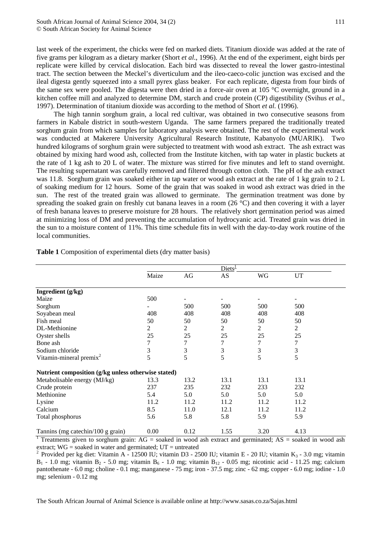last week of the experiment, the chicks were fed on marked diets. Titanium dioxide was added at the rate of five grams per kilogram as a dietary marker (Short *et al*., 1996). At the end of the experiment, eight birds per replicate were killed by cervical dislocation. Each bird was dissected to reveal the lower gastro-intestinal tract. The section between the Meckel's diverticulum and the ileo-caeco-colic junction was excised and the ileal digesta gently squeezed into a small pyrex glass beaker. For each replicate, digesta from four birds of the same sex were pooled. The digesta were then dried in a force-air oven at 105 °C overnight, ground in a kitchen coffee mill and analyzed to determine DM, starch and crude protein (CP) digestibility (Svihus *et al*., 1997). Determination of titanium dioxide was according to the method of Short *et al.* (1996).

The high tannin sorghum grain, a local red cultivar, was obtained in two consecutive seasons from farmers in Kabale district in south-western Uganda. The same farmers prepared the traditionally treated sorghum grain from which samples for laboratory analysis were obtained. The rest of the experimental work was conducted at Makerere University Agricultural Research Institute, Kabanyolo (MUARIK). Two hundred kilograms of sorghum grain were subjected to treatment with wood ash extract. The ash extract was obtained by mixing hard wood ash, collected from the Institute kitchen, with tap water in plastic buckets at the rate of 1 kg ash to 20 L of water. The mixture was stirred for five minutes and left to stand overnight. The resulting supernatant was carefully removed and filtered through cotton cloth. The pH of the ash extract was 11.8. Sorghum grain was soaked either in tap water or wood ash extract at the rate of 1 kg grain to 2 L of soaking medium for 12 hours. Some of the grain that was soaked in wood ash extract was dried in the sun. The rest of the treated grain was allowed to germinate. The germination treatment was done by spreading the soaked grain on freshly cut banana leaves in a room (26 °C) and then covering it with a layer of fresh banana leaves to preserve moisture for 28 hours. The relatively short germination period was aimed at minimizing loss of DM and preventing the accumulation of hydrocyanic acid. Treated grain was dried in the sun to a moisture content of 11%. This time schedule fits in well with the day-to-day work routine of the local communities.

|                                                                                                                                                   | $Diets^1$ |                |      |      |                             |  |  |  |
|---------------------------------------------------------------------------------------------------------------------------------------------------|-----------|----------------|------|------|-----------------------------|--|--|--|
|                                                                                                                                                   | Maize     | AG             | AS   | WG   | <b>UT</b>                   |  |  |  |
| <b>Ingredient</b> (g/kg)                                                                                                                          |           |                |      |      |                             |  |  |  |
| Maize                                                                                                                                             | 500       |                |      |      |                             |  |  |  |
| Sorghum                                                                                                                                           |           | 500            | 500  | 500  | 500                         |  |  |  |
| Soyabean meal                                                                                                                                     | 408       | 408            | 408  | 408  | 408                         |  |  |  |
| Fish meal                                                                                                                                         | 50        | 50             | 50   | 50   | 50                          |  |  |  |
| DL-Methionine                                                                                                                                     | 2         | $\overline{c}$ | 2    | 2    | 2                           |  |  |  |
| Oyster shells                                                                                                                                     | 25        | 25             | 25   | 25   | 25                          |  |  |  |
| Bone ash                                                                                                                                          | 7         | 7              | 7    | 7    | 7                           |  |  |  |
| Sodium chloride                                                                                                                                   | 3         | 3              | 3    | 3    | $\ensuremath{\mathfrak{Z}}$ |  |  |  |
| Vitamin-mineral premix $2$                                                                                                                        | 5         | 5              | 5    | 5    | 5                           |  |  |  |
| Nutrient composition (g/kg unless otherwise stated)                                                                                               |           |                |      |      |                             |  |  |  |
| Metabolisable energy (MJ/kg)                                                                                                                      | 13.3      | 13.2           | 13.1 | 13.1 | 13.1                        |  |  |  |
| Crude protein                                                                                                                                     | 237       | 235            | 232  | 233  | 232                         |  |  |  |
| Methionine                                                                                                                                        | 5.4       | 5.0            | 5.0  | 5.0  | 5.0                         |  |  |  |
| Lysine                                                                                                                                            | 11.2      | 11.2           | 11.2 | 11.2 | 11.2                        |  |  |  |
| Calcium                                                                                                                                           | 8.5       | 11.0           | 12.1 | 11.2 | 11.2                        |  |  |  |
| Total phosphorus                                                                                                                                  | 5.6       | 5.8            | 5.8  | 5.9  | 5.9                         |  |  |  |
| Tannins (mg catechin/100 g grain)                                                                                                                 | 0.00      | 0.12           | 1.55 | 3.20 | 4.13                        |  |  |  |
| <sup>1</sup> Treatments given to sorghum grain: $\overline{AG}$ = soaked in wood ash extract and germinated; $\overline{AS}$ = soaked in wood ash |           |                |      |      |                             |  |  |  |

**Table 1** Composition of experimental diets (dry matter basis)

extract; WG = soaked in water and germinated; UT = untreated<br><sup>2</sup> Provided per kg diet: Vitamin A - 12500 IU; vitamin D3 - 2500 IU; vitamin E - 20 IU; vitamin K<sub>3</sub> - 3.0 mg; vitamin

 $B_1$  - 1.0 mg; vitamin  $B_2$  - 5.0 mg; vitamin  $B_6$  - 1.0 mg; vitamin  $B_{12}$  - 0.05 mg; nicotinic acid - 11.25 mg; calcium pantothenate - 6.0 mg; choline - 0.1 mg; manganese - 75 mg; iron - 37.5 mg; zinc - 62 mg; copper - 6.0 mg; iodine - 1.0 mg; selenium - 0.12 mg

The South African Journal of Animal Science is available online at http://www.sasas.co.za/Sajas.html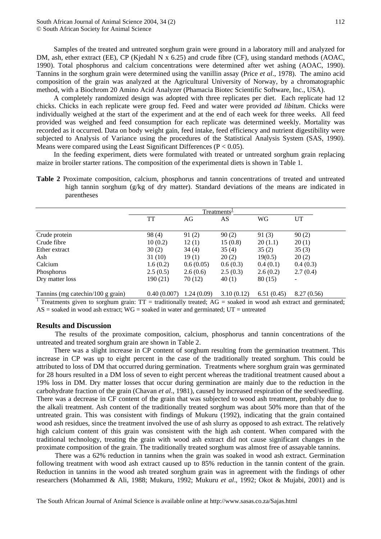Samples of the treated and untreated sorghum grain were ground in a laboratory mill and analyzed for DM, ash, ether extract (EE), CP (Kjedahl N x 6.25) and crude fibre (CF), using standard methods (AOAC, 1990). Total phosphorus and calcium concentrations were determined after wet ashing (AOAC, 1990). Tannins in the sorghum grain were determined using the vanillin assay (Price *et al*., 1978). The amino acid composition of the grain was analyzed at the Agricultural University of Norway, by a chromatographic method, with a Biochrom 20 Amino Acid Analyzer (Phamacia Biotec Scientific Software, Inc., USA).

A completely randomized design was adopted with three replicates per diet. Each replicate had 12 chicks. Chicks in each replicate were group fed. Feed and water were provided *ad libitum*. Chicks were individually weighed at the start of the experiment and at the end of each week for three weeks. All feed provided was weighed and feed consumption for each replicate was determined weekly. Mortality was recorded as it occurred. Data on body weight gain, feed intake, feed efficiency and nutrient digestibility were subjected to Analysis of Variance using the procedures of the Statistical Analysis System (SAS, 1990). Means were compared using the Least Significant Differences ( $P < 0.05$ ).

In the feeding experiment, diets were formulated with treated or untreated sorghum grain replacing maize in broiler starter rations. The composition of the experimental diets is shown in Table 1.

**Table 2** Proximate composition, calcium, phosphorus and tannin concentrations of treated and untreated high tannin sorghum (g/kg of dry matter). Standard deviations of the means are indicated in parentheses

|                                                                                                                                 | Treatments <sup>±</sup> |            |            |            |            |  |  |
|---------------------------------------------------------------------------------------------------------------------------------|-------------------------|------------|------------|------------|------------|--|--|
|                                                                                                                                 | TT                      | AG         | AS         | WG         | UT         |  |  |
|                                                                                                                                 |                         |            |            |            |            |  |  |
| Crude protein                                                                                                                   | 98(4)                   | 91(2)      | 90(2)      | 91(3)      | 90(2)      |  |  |
| Crude fibre                                                                                                                     | 10(0.2)                 | 12(1)      | 15(0.8)    | 20(1.1)    | 20(1)      |  |  |
| Ether extract                                                                                                                   | 30(2)                   | 34(4)      | 35(4)      | 35(2)      | 35(3)      |  |  |
| Ash                                                                                                                             | 31 (10)                 | 19(1)      | 20(2)      | 19(0.5)    | 20(2)      |  |  |
| Calcium                                                                                                                         | 1.6(0.2)                | 0.6(0.05)  | 0.6(0.3)   | 0.4(0.1)   | 0.4(0.3)   |  |  |
| Phosphorus                                                                                                                      | 2.5(0.5)                | 2.6(0.6)   | 2.5(0.3)   | 2.6(0.2)   | 2.7(0.4)   |  |  |
| Dry matter loss                                                                                                                 | 190(21)                 | 70 (12)    | 40(1)      | 80(15)     |            |  |  |
| Tannins (mg catechin/100 g grain)                                                                                               | 0.40(0.007)             | 1.24(0.09) | 3.10(0.12) | 6.51(0.45) | 8.27(0.56) |  |  |
| <sup>1</sup> Treatments given to sorghum grain: $TT =$ traditionally treated; $AG =$ soaked in wood ash extract and germinated; |                         |            |            |            |            |  |  |

 $AS =$  soaked in wood ash extract;  $WG =$  soaked in water and germinated;  $UT =$  untreated

#### **Results and Discussion**

The results of the proximate composition, calcium, phosphorus and tannin concentrations of the untreated and treated sorghum grain are shown in Table 2.

There was a slight increase in CP content of sorghum resulting from the germination treatment. This increase in CP was up to eight percent in the case of the traditionally treated sorghum. This could be attributed to loss of DM that occurred during germination. Treatments where sorghum grain was germinated for 28 hours resulted in a DM loss of seven to eight percent whereas the traditional treatment caused about a 19% loss in DM. Dry matter losses that occur during germination are mainly due to the reduction in the carbohydrate fraction of the grain (Chavan *et al*., 1981), caused by increased respiration of the seed/seedling. There was a decrease in CF content of the grain that was subjected to wood ash treatment, probably due to the alkali treatment. Ash content of the traditionally treated sorghum was about 50% more than that of the untreated grain. This was consistent with findings of Mukuru (1992), indicating that the grain contained wood ash residues, since the treatment involved the use of ash slurry as opposed to ash extract. The relatively high calcium content of this grain was consistent with the high ash content. When compared with the traditional technology, treating the grain with wood ash extract did not cause significant changes in the proximate composition of the grain. The traditionally treated sorghum was almost free of assayable tannins.

There was a 62% reduction in tannins when the grain was soaked in wood ash extract. Germination following treatment with wood ash extract caused up to 85% reduction in the tannin content of the grain. Reduction in tannins in the wood ash treated sorghum grain was in agreement with the findings of other researchers (Mohammed & Ali, 1988; Mukuru, 1992; Mukuru *et al*., 1992; Okot & Mujabi, 2001) and is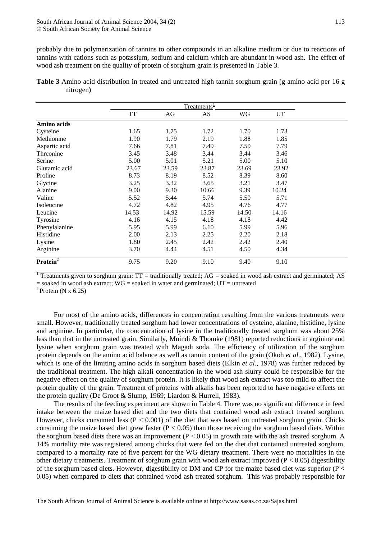probably due to polymerization of tannins to other compounds in an alkaline medium or due to reactions of tannins with cations such as potassium, sodium and calcium which are abundant in wood ash. The effect of wood ash treatment on the quality of protein of sorghum grain is presented in Table 3.

|                    | Treatments <sup>1</sup> |       |       |       |       |  |
|--------------------|-------------------------|-------|-------|-------|-------|--|
|                    | TT                      | AG    | AS    | WG    | UT    |  |
| <b>Amino acids</b> |                         |       |       |       |       |  |
| Cysteine           | 1.65                    | 1.75  | 1.72  | 1.70  | 1.73  |  |
| Methionine         | 1.90                    | 1.79  | 2.19  | 1.88  | 1.85  |  |
| Aspartic acid      | 7.66                    | 7.81  | 7.49  | 7.50  | 7.79  |  |
| Threonine          | 3.45                    | 3.48  | 3.44  | 3.44  | 3.46  |  |
| Serine             | 5.00                    | 5.01  | 5.21  | 5.00  | 5.10  |  |
| Glutamic acid      | 23.67                   | 23.59 | 23.87 | 23.69 | 23.92 |  |
| Proline            | 8.73                    | 8.19  | 8.52  | 8.39  | 8.60  |  |
| Glycine            | 3.25                    | 3.32  | 3.65  | 3.21  | 3.47  |  |
| Alanine            | 9.00                    | 9.30  | 10.66 | 9.39  | 10.24 |  |
| Valine             | 5.52                    | 5.44  | 5.74  | 5.50  | 5.71  |  |
| Isoleucine         | 4.72                    | 4.82  | 4.95  | 4.76  | 4.77  |  |
| Leucine            | 14.53                   | 14.92 | 15.59 | 14.50 | 14.16 |  |
| Tyrosine           | 4.16                    | 4.15  | 4.18  | 4.18  | 4.42  |  |
| Phenylalanine      | 5.95                    | 5.99  | 6.10  | 5.99  | 5.96  |  |
| Histidine          | 2.00                    | 2.13  | 2.25  | 2.20  | 2.18  |  |
| Lysine             | 1.80                    | 2.45  | 2.42  | 2.42  | 2.40  |  |
| Arginine           | 3.70                    | 4.44  | 4.51  | 4.50  | 4.34  |  |
| Protein $2$        | 9.75                    | 9.20  | 9.10  | 9.40  | 9.10  |  |

**Table 3** Amino acid distribution in treated and untreated high tannin sorghum grain (g amino acid per 16 g nitrogen**)** 

<sup>1</sup> Treatments given to sorghum grain:  $TT =$  traditionally treated;  $AG =$  soaked in wood ash extract and germinated; AS = soaked in wood ash extract;  $\overline{WG}$  = soaked in water and germinated;  $UT$  = untreated <sup>2</sup> Protein (N x 6.25)

For most of the amino acids, differences in concentration resulting from the various treatments were small. However, traditionally treated sorghum had lower concentrations of cysteine, alanine, histidine, lysine and arginine. In particular, the concentration of lysine in the traditionally treated sorghum was about 25% less than that in the untreated grain. Similarly, Muindi & Thomke (1981) reported reductions in arginine and lysine when sorghum grain was treated with Magadi soda. The efficiency of utilization of the sorghum protein depends on the amino acid balance as well as tannin content of the grain (Okoh *et al*., 1982). Lysine, which is one of the limiting amino acids in sorghum based diets (Elkin *et al*., 1978) was further reduced by the traditional treatment. The high alkali concentration in the wood ash slurry could be responsible for the negative effect on the quality of sorghum protein. It is likely that wood ash extract was too mild to affect the protein quality of the grain. Treatment of proteins with alkalis has been reported to have negative effects on the protein quality (De Groot & Slump, 1969; Liardon & Hurrell, 1983).

The results of the feeding experiment are shown in Table 4. There was no significant difference in feed intake between the maize based diet and the two diets that contained wood ash extract treated sorghum. However, chicks consumed less ( $P < 0.001$ ) of the diet that was based on untreated sorghum grain. Chicks consuming the maize based diet grew faster  $(P < 0.05)$  than those receiving the sorghum based diets. Within the sorghum based diets there was an improvement  $(P < 0.05)$  in growth rate with the ash treated sorghum. A 14% mortality rate was registered among chicks that were fed on the diet that contained untreated sorghum, compared to a mortality rate of five percent for the WG dietary treatment. There were no mortalities in the other dietary treatments. Treatment of sorghum grain with wood ash extract improved ( $P < 0.05$ ) digestibility of the sorghum based diets. However, digestibility of DM and CP for the maize based diet was superior ( $P <$ 0.05) when compared to diets that contained wood ash treated sorghum. This was probably responsible for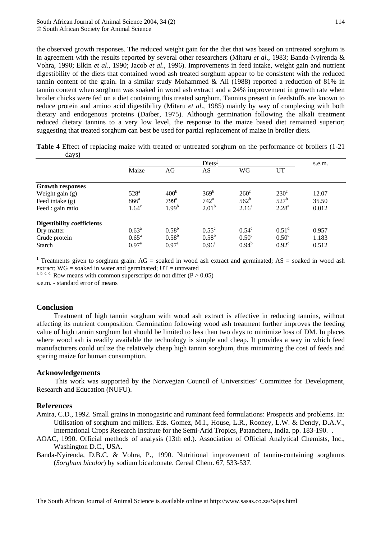the observed growth responses. The reduced weight gain for the diet that was based on untreated sorghum is in agreement with the results reported by several other researchers (Mitaru *et al*., 1983; Banda-Nyirenda & Vohra, 1990; Elkin *et al*., 1990; Jacob *et al*., 1996). Improvements in feed intake, weight gain and nutrient digestibility of the diets that contained wood ash treated sorghum appear to be consistent with the reduced tannin content of the grain. In a similar study Mohammed & Ali (1988) reported a reduction of 81% in tannin content when sorghum was soaked in wood ash extract and a 24% improvement in growth rate when broiler chicks were fed on a diet containing this treated sorghum. Tannins present in feedstuffs are known to reduce protein and amino acid digestibility (Mitaru *et al*., 1985) mainly by way of complexing with both dietary and endogenous proteins (Daiber, 1975). Although germination following the alkali treatment reduced dietary tannins to a very low level, the response to the maize based diet remained superior; suggesting that treated sorghum can best be used for partial replacement of maize in broiler diets.

|                                   | $\text{Diets}^{\perp}$ |                    |                   |                   |                | s.e.m. |
|-----------------------------------|------------------------|--------------------|-------------------|-------------------|----------------|--------|
|                                   | Maize                  | AG                 | AS                | WG                | UT             |        |
| <b>Growth responses</b>           |                        |                    |                   |                   |                |        |
| Weight gain $(g)$                 | 528 <sup>a</sup>       | 400 <sup>b</sup>   | 369 <sup>b</sup>  | $260^\circ$       | $230^{\circ}$  | 12.07  |
| Feed intake $(g)$                 | $866^a$                | $799^{\mathrm{a}}$ | 742 <sup>a</sup>  | $562^b$           | $527^{\rm b}$  | 35.50  |
| Feed : gain ratio                 | $1.64^{\circ}$         | 1.99 <sup>b</sup>  | $2.01^{b}$        | 2.16 <sup>a</sup> | $2.28^{a}$     | 0.012  |
| <b>Digestibility coefficients</b> |                        |                    |                   |                   |                |        |
| Dry matter                        | $0.63^{\rm a}$         | $0.58^{\rm b}$     | $0.55^{\circ}$    | $0.54^{\circ}$    | $0.51^d$       | 0.957  |
| Crude protein                     | $0.65^{\rm a}$         | $0.58^{\rm b}$     | $0.58^{\rm b}$    | $0.50^{\circ}$    | $0.50^{\circ}$ | 1.183  |
| <b>Starch</b>                     | $0.97^{\rm a}$         | $0.97^{\rm a}$     | 0.96 <sup>a</sup> | $0.94^{\rm b}$    | $0.92^{\circ}$ | 0.512  |

Table 4 Effect of replacing maize with treated or untreated sorghum on the performance of broilers (1-21) days**)** 

<sup>1</sup> Treatments given to sorghum grain:  $AG =$  soaked in wood ash extract and germinated;  $AS =$  soaked in wood ash extract;  $WG = soaked in water and germinated$ ;  $UT = untreated$ 

a, b, c, d Row means with common superscripts do not differ ( $P > 0.05$ )

s.e.m. - standard error of means

## **Conclusion**

Treatment of high tannin sorghum with wood ash extract is effective in reducing tannins, without affecting its nutrient composition. Germination following wood ash treatment further improves the feeding value of high tannin sorghum but should be limited to less than two days to minimize loss of DM. In places where wood ash is readily available the technology is simple and cheap. It provides a way in which feed manufacturers could utilize the relatively cheap high tannin sorghum, thus minimizing the cost of feeds and sparing maize for human consumption.

#### **Acknowledgements**

This work was supported by the Norwegian Council of Universities' Committee for Development, Research and Education (NUFU).

#### **References**

- Amira, C.D., 1992. Small grains in monogastric and ruminant feed formulations: Prospects and problems. In: Utilisation of sorghum and millets. Eds. Gomez, M.I., House, L.R., Rooney, L.W. & Dendy, D.A.V., International Crops Research Institute for the Semi-Arid Tropics, Patancheru, India. pp. 183-190. .
- AOAC, 1990. Official methods of analysis (13th ed.). Association of Official Analytical Chemists, Inc., Washington D.C., USA.
- Banda-Nyirenda, D.B.C. & Vohra, P., 1990. Nutritional improvement of tannin-containing sorghums (*Sorghum bicolor*) by sodium bicarbonate. Cereal Chem. 67, 533-537.